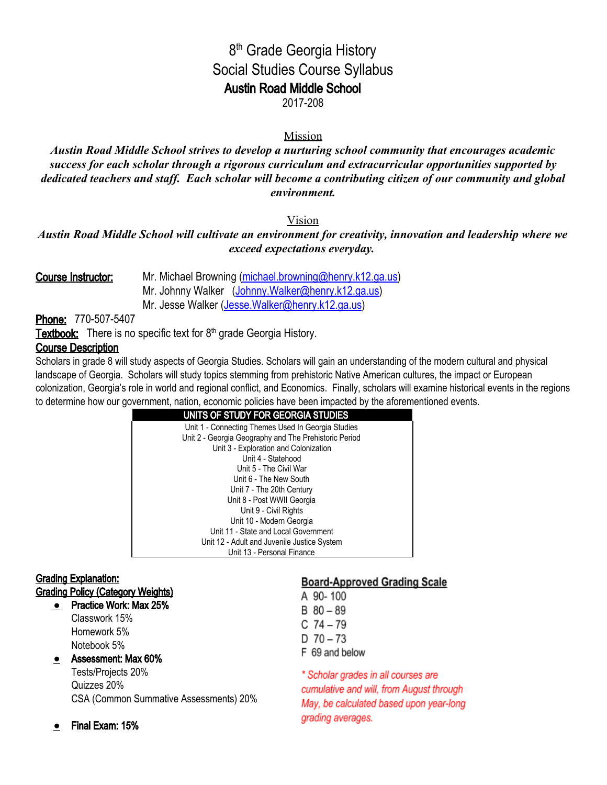# 8<sup>th</sup> Grade Georgia History Social Studies Course Syllabus Austin Road Middle School

2017-208

## Mission

*Austin Road Middle School strives to develop a nurturing school community that encourages academic success for each scholar through a rigorous curriculum and extracurricular opportunities supported by dedicated teachers and staff. Each scholar will become a contributing citizen of our community and global environment.*

## Vision

*Austin Road Middle School will cultivate an environment for creativity, innovation and leadership where we exceed expectations everyday.*

| Course Instructor: | Mr. Michael Browning (michael.browning@henry.k12.ga.us) |
|--------------------|---------------------------------------------------------|
|                    | Mr. Johnny Walker (Johnny. Walker@henry.k12.ga.us)      |
|                    | Mr. Jesse Walker (Jesse.Walker@henry.k12.ga.us)         |

Phone: 770-507-5407

Textbook: There is no specific text for 8<sup>th</sup> grade Georgia History.

## Course Description

Scholars in grade 8 will study aspects of Georgia Studies. Scholars will gain an understanding of the modern cultural and physical landscape of Georgia. Scholars will study topics stemming from prehistoric Native American cultures, the impact or European colonization, Georgia's role in world and regional conflict, and Economics. Finally, scholars will examine historical events in the regions to determine how our government, nation, economic policies have been impacted by the aforementioned events.

| UNITS OF STUDY FOR GEORGIA STUDIES                    |  |
|-------------------------------------------------------|--|
| Unit 1 - Connecting Themes Used In Georgia Studies    |  |
| Unit 2 - Georgia Geography and The Prehistoric Period |  |
| Unit 3 - Exploration and Colonization                 |  |
| Unit 4 - Statehood                                    |  |
| Unit 5 - The Civil War                                |  |
| Unit 6 - The New South                                |  |
| Unit 7 - The 20th Century                             |  |
| Unit 8 - Post WWII Georgia                            |  |
| Unit 9 - Civil Rights                                 |  |
| Unit 10 - Modern Georgia                              |  |
| Unit 11 - State and Local Government                  |  |
| Unit 12 - Adult and Juvenile Justice System           |  |
| Unit 13 - Personal Finance                            |  |

## Grading Explanation:

## Grading Policy (Category Weights)

**●** Practice Work: Max 25% Classwork 15% Homework 5% Notebook 5%

## ● Assessment: Max 60%

Tests/Projects 20% Quizzes 20% CSA (Common Summative Assessments) 20%

## **Board-Approved Grading Scale**

A 90-100  $B$  80 - 89  $C$  74 - 79  $D$  70 - 73 F 69 and below \* Scholar grades in all courses are cumulative and will, from August through May, be calculated based upon year-long

grading averages.

● Final Exam: 15%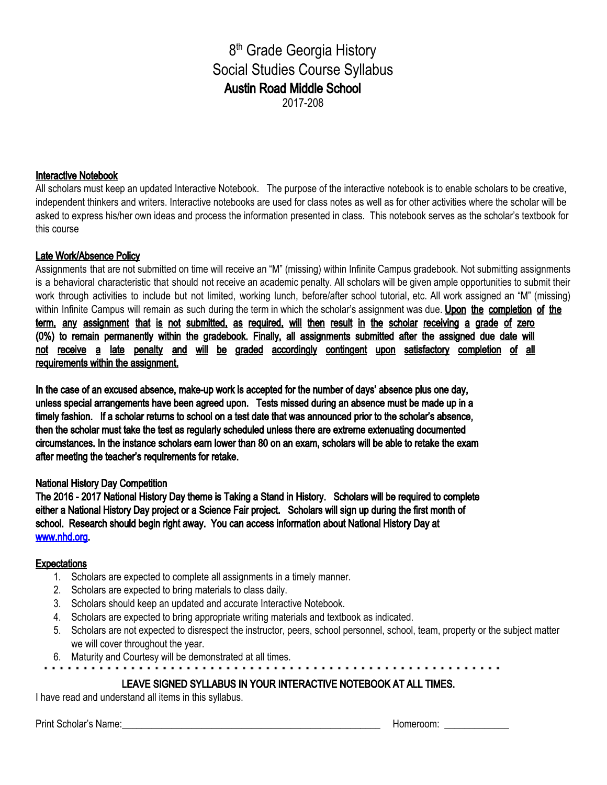8<sup>th</sup> Grade Georgia History Social Studies Course Syllabus Austin Road Middle School 2017-208

Interactive Notebook

All scholars must keep an updated Interactive Notebook. The purpose of the interactive notebook is to enable scholars to be creative, independent thinkers and writers. Interactive notebooks are used for class notes as well as for other activities where the scholar will be asked to express his/her own ideas and process the information presented in class. This notebook serves as the scholar's textbook for this course

### Late Work/Absence Policy

Assignments that are not submitted on time will receive an "M" (missing) within Infinite Campus gradebook. Not submitting assignments is a behavioral characteristic that should not receive an academic penalty. All scholars will be given ample opportunities to submit their work through activities to include but not limited, working lunch, before/after school tutorial, etc. All work assigned an "M" (missing) within Infinite Campus will remain as such during the term in which the scholar's assignment was due. Upon the completion of the term, any assignment that is not submitted, as required, will then result in the scholar receiving a grade of zero (0%) to remain permanently within the gradebook. Finally, all assignments submitted after the assigned due date will not receive a late penalty and will be graded accordingly contingent upon satisfactory completion of all requirements within the assignment.

In the case of an excused absence, make-up work is accepted for the number of days' absence plus one day, unless special arrangements have been agreed upon. Tests missed during an absence must be made up in a timely fashion. If a scholar returns to school on a test date that was announced prior to the scholar's absence, then the scholar must take the test as regularly scheduled unless there are extreme extenuating documented circumstances. In the instance scholars earn lower than 80 on an exam, scholars will be able to retake the exam after meeting the teacher's requirements for retake.

### National History Day Competition

The 2016 - 2017 National History Day theme is Taking a Stand in History. Scholars will be required to complete either a National History Day project or a Science Fair project. Scholars will sign up during the first month of school. Research should begin right away. You can access information about National History Day at [www.nhd.org](http://www.nhd.org/).

#### **Expectations**

- 1. Scholars are expected to complete all assignments in a timely manner.
- 2. Scholars are expected to bring materials to class daily.
- 3. Scholars should keep an updated and accurate Interactive Notebook.
- 4. Scholars are expected to bring appropriate writing materials and textbook as indicated.
- 5. Scholars are not expected to disrespect the instructor, peers, school personnel, school, team, property or the subject matter we will cover throughout the year.
- 6. Maturity and Courtesy will be demonstrated at all times.
	-

### LEAVE SIGNED SYLLABUS IN YOUR INTERACTIVE NOTEBOOK AT ALL TIMES.

I have read and understand all items in this syllabus.

Print Scholar's Name:\_\_\_\_\_\_\_\_\_\_\_\_\_\_\_\_\_\_\_\_\_\_\_\_\_\_\_\_\_\_\_\_\_\_\_\_\_\_\_\_\_\_\_\_\_\_\_\_\_\_\_\_ Homeroom: \_\_\_\_\_\_\_\_\_\_\_\_\_